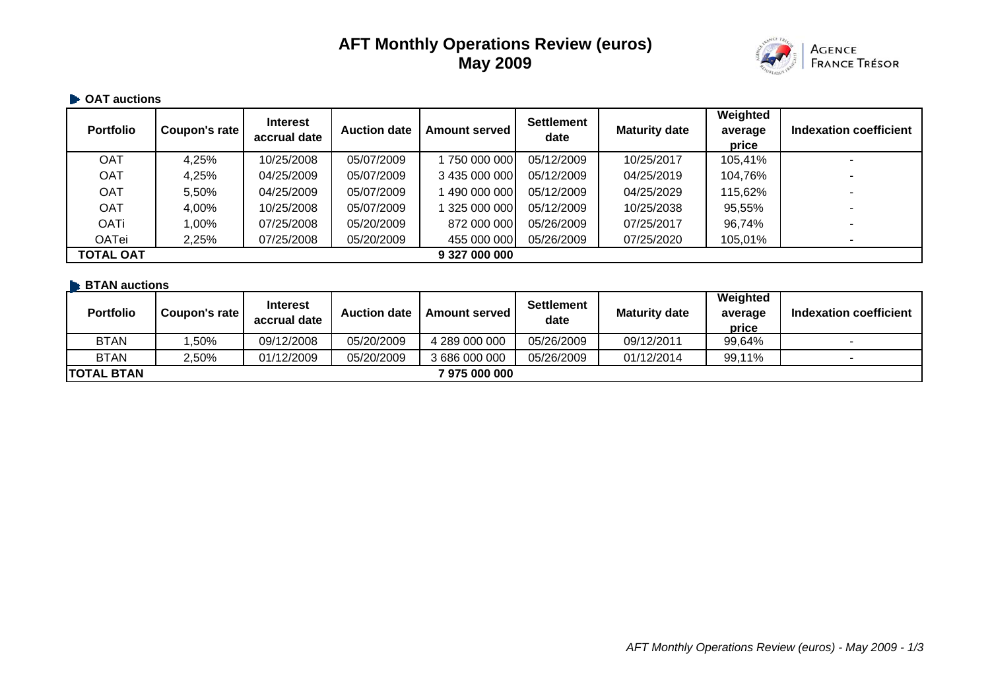# **AFT Monthly Operations Review (euros) May 2009**



#### **• OAT auctions**

| <b>Portfolio</b> | Coupon's rate | <b>Interest</b><br>accrual date | <b>Auction date</b> | <b>Amount served</b> | <b>Settlement</b><br>date | <b>Maturity date</b> | Weighted<br>average<br>price | Indexation coefficient   |
|------------------|---------------|---------------------------------|---------------------|----------------------|---------------------------|----------------------|------------------------------|--------------------------|
| <b>OAT</b>       | 4,25%         | 10/25/2008                      | 05/07/2009          | 1750 000 000         | 05/12/2009                | 10/25/2017           | 105,41%                      |                          |
| <b>OAT</b>       | 4,25%         | 04/25/2009                      | 05/07/2009          | 3 435 000 000        | 05/12/2009                | 04/25/2019           | 104,76%                      | $\overline{\phantom{a}}$ |
| <b>OAT</b>       | 5,50%         | 04/25/2009                      | 05/07/2009          | 1490 000 000         | 05/12/2009                | 04/25/2029           | 115,62%                      | $\overline{\phantom{a}}$ |
| <b>OAT</b>       | 4,00%         | 10/25/2008                      | 05/07/2009          | 1 325 000 000        | 05/12/2009                | 10/25/2038           | 95,55%                       |                          |
| <b>OATi</b>      | $00\%$        | 07/25/2008                      | 05/20/2009          | 872 000 000          | 05/26/2009                | 07/25/2017           | 96,74%                       |                          |
| OATei            | 2,25%         | 07/25/2008                      | 05/20/2009          | 455 000 000          | 05/26/2009                | 07/25/2020           | 105,01%                      | $\overline{\phantom{a}}$ |
| <b>TOTAL OAT</b> |               |                                 |                     | 9 327 000 000        |                           |                      |                              |                          |

# **BTAN auctions**

| <b>Portfolio</b>  | Coupon's rate | <b>Interest</b><br>accrual date | <b>Auction date</b> | <b>Amount served I</b> | <b>Settlement</b><br>date | <b>Maturity date</b> | Weighted<br>average<br>price | Indexation coefficient   |
|-------------------|---------------|---------------------------------|---------------------|------------------------|---------------------------|----------------------|------------------------------|--------------------------|
| <b>BTAN</b>       | ,50%          | 09/12/2008                      | 05/20/2009          | 4 289 000 000          | 05/26/2009                | 09/12/2011           | 99,64%                       |                          |
| <b>BTAN</b>       | $2.50\%$      | 01/12/2009                      | 05/20/2009          | 3 686 000 000          | 05/26/2009                | 01/12/2014           | 99,11%                       | $\overline{\phantom{a}}$ |
| <b>TOTAL BTAN</b> |               |                                 |                     | 7 975 000 000          |                           |                      |                              |                          |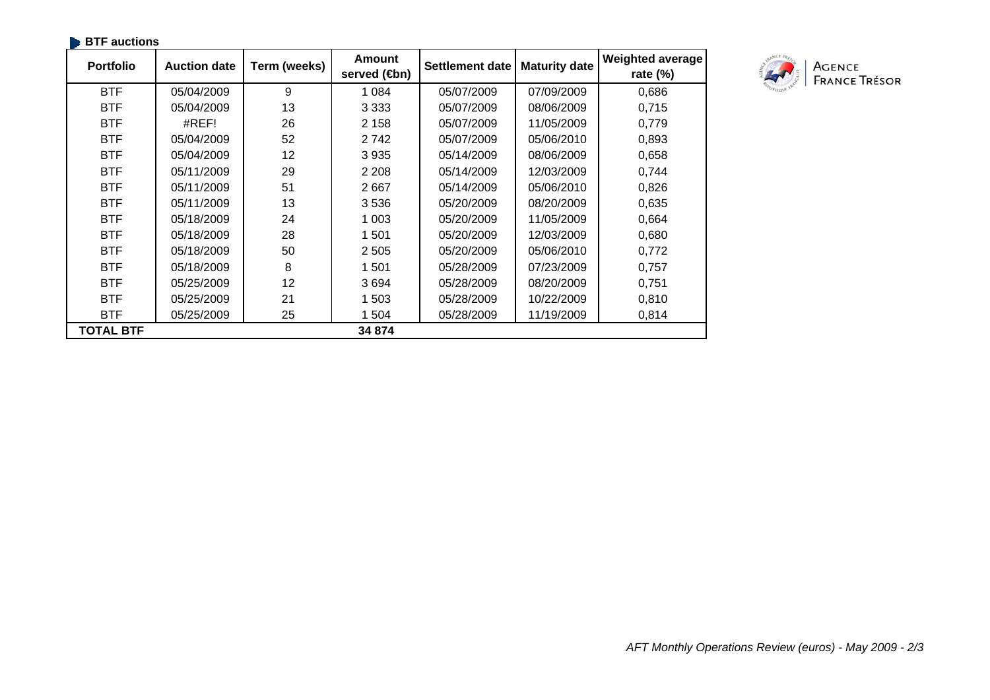| <b>BTF</b> auctions |                     |              |                                |                        |                      |                                        |
|---------------------|---------------------|--------------|--------------------------------|------------------------|----------------------|----------------------------------------|
| <b>Portfolio</b>    | <b>Auction date</b> | Term (weeks) | Amount<br>served ( <b>⊕</b> n) | <b>Settlement date</b> | <b>Maturity date</b> | <b>Weighted average</b><br>rate $(\%)$ |
| <b>BTF</b>          | 05/04/2009          | 9            | 1 0 8 4                        | 05/07/2009             | 07/09/2009           | 0,686                                  |
| <b>BTF</b>          | 05/04/2009          | 13           | 3 3 3 3                        | 05/07/2009             | 08/06/2009           | 0,715                                  |
| <b>BTF</b>          | #REF!               | 26           | 2 1 5 8                        | 05/07/2009             | 11/05/2009           | 0,779                                  |
| <b>BTF</b>          | 05/04/2009          | 52           | 2742                           | 05/07/2009             | 05/06/2010           | 0,893                                  |
| <b>BTF</b>          | 05/04/2009          | 12           | 3 9 3 5                        | 05/14/2009             | 08/06/2009           | 0,658                                  |
| <b>BTF</b>          | 05/11/2009          | 29           | 2 2 0 8                        | 05/14/2009             | 12/03/2009           | 0,744                                  |
| <b>BTF</b>          | 05/11/2009          | 51           | 2667                           | 05/14/2009             | 05/06/2010           | 0,826                                  |
| <b>BTF</b>          | 05/11/2009          | 13           | 3536                           | 05/20/2009             | 08/20/2009           | 0,635                                  |
| <b>BTF</b>          | 05/18/2009          | 24           | 1 0 0 3                        | 05/20/2009             | 11/05/2009           | 0,664                                  |
| <b>BTF</b>          | 05/18/2009          | 28           | 1 501                          | 05/20/2009             | 12/03/2009           | 0,680                                  |
| <b>BTF</b>          | 05/18/2009          | 50           | 2 5 0 5                        | 05/20/2009             | 05/06/2010           | 0,772                                  |
| <b>BTF</b>          | 05/18/2009          | 8            | 1 501                          | 05/28/2009             | 07/23/2009           | 0,757                                  |
| <b>BTF</b>          | 05/25/2009          | 12           | 3694                           | 05/28/2009             | 08/20/2009           | 0,751                                  |
| <b>BTF</b>          | 05/25/2009          | 21           | 1 503                          | 05/28/2009             | 10/22/2009           | 0,810                                  |
| <b>BTF</b>          | 05/25/2009          | 25           | 1 504                          | 05/28/2009             | 11/19/2009           | 0,814                                  |
| <b>TOTAL BTF</b>    |                     |              | 34 874                         |                        |                      |                                        |